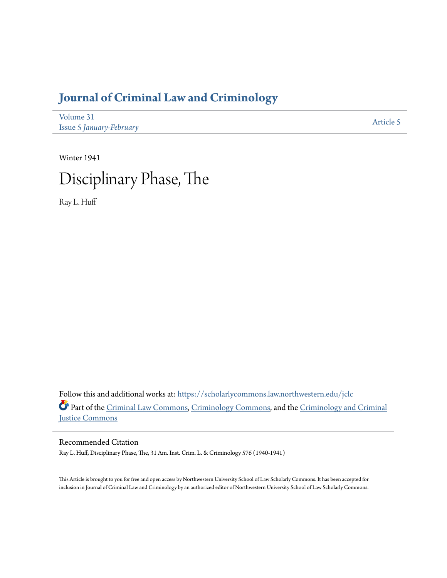# **[Journal of Criminal Law and Criminology](https://scholarlycommons.law.northwestern.edu/jclc?utm_source=scholarlycommons.law.northwestern.edu%2Fjclc%2Fvol31%2Fiss5%2F5&utm_medium=PDF&utm_campaign=PDFCoverPages)**

[Volume 31](https://scholarlycommons.law.northwestern.edu/jclc/vol31?utm_source=scholarlycommons.law.northwestern.edu%2Fjclc%2Fvol31%2Fiss5%2F5&utm_medium=PDF&utm_campaign=PDFCoverPages) Issue 5 *[January-February](https://scholarlycommons.law.northwestern.edu/jclc/vol31/iss5?utm_source=scholarlycommons.law.northwestern.edu%2Fjclc%2Fvol31%2Fiss5%2F5&utm_medium=PDF&utm_campaign=PDFCoverPages)*

[Article 5](https://scholarlycommons.law.northwestern.edu/jclc/vol31/iss5/5?utm_source=scholarlycommons.law.northwestern.edu%2Fjclc%2Fvol31%2Fiss5%2F5&utm_medium=PDF&utm_campaign=PDFCoverPages)

Winter 1941 Disciplinary Phase, The

Ray L. Huff

Follow this and additional works at: [https://scholarlycommons.law.northwestern.edu/jclc](https://scholarlycommons.law.northwestern.edu/jclc?utm_source=scholarlycommons.law.northwestern.edu%2Fjclc%2Fvol31%2Fiss5%2F5&utm_medium=PDF&utm_campaign=PDFCoverPages) Part of the [Criminal Law Commons](http://network.bepress.com/hgg/discipline/912?utm_source=scholarlycommons.law.northwestern.edu%2Fjclc%2Fvol31%2Fiss5%2F5&utm_medium=PDF&utm_campaign=PDFCoverPages), [Criminology Commons](http://network.bepress.com/hgg/discipline/417?utm_source=scholarlycommons.law.northwestern.edu%2Fjclc%2Fvol31%2Fiss5%2F5&utm_medium=PDF&utm_campaign=PDFCoverPages), and the [Criminology and Criminal](http://network.bepress.com/hgg/discipline/367?utm_source=scholarlycommons.law.northwestern.edu%2Fjclc%2Fvol31%2Fiss5%2F5&utm_medium=PDF&utm_campaign=PDFCoverPages) [Justice Commons](http://network.bepress.com/hgg/discipline/367?utm_source=scholarlycommons.law.northwestern.edu%2Fjclc%2Fvol31%2Fiss5%2F5&utm_medium=PDF&utm_campaign=PDFCoverPages)

Recommended Citation Ray L. Huff, Disciplinary Phase, The, 31 Am. Inst. Crim. L. & Criminology 576 (1940-1941)

This Article is brought to you for free and open access by Northwestern University School of Law Scholarly Commons. It has been accepted for inclusion in Journal of Criminal Law and Criminology by an authorized editor of Northwestern University School of Law Scholarly Commons.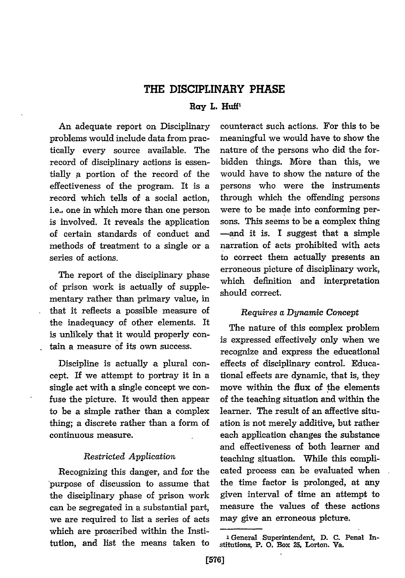# **THE DISCIPLINARY PHASE**

### Ray L. Huff

An adequate report on Disciplinary problems would include data from practically every source available. The record of disciplinary actions is essentially **g** portion of the record of the effectiveness of the program. It is a record which tells of a social action, i.e., one in which more than one person is involved. It reveals the application of certain standards of conduct and methods of treatment to a single or a series of actions.

The report of the disciplinary phase of prison work is actually of supplementary rather than primary value, in that it reflects a possible measure of the inadequacy of other elements. It is unlikely that it would properly contain a measure of its own success.

Discipline is actually a plural concept. If we attempt to portray it in a single act with a single concept we confuse the picture. It would then appear to be a simple rather than a complex thing; a discrete rather than a form of continuous measure.

## *Restricted Application*

Recognizing this danger, and for the purpose of discussion to assume that the disciplinary phase of prison work can be segregated in a substantial part, we are required to list a series of acts which are proscribed within the Institution, and list the means taken to counteract such actions. For this to be meaningful we would have to show the nature of the persons who did the forbidden things. More than this, we would have to show the nature of the persons who were the instruments through which the offending persons were to be made into conforming persons. This seems to be a complex thing -and it is. I suggest that a simple narration of acts prohibited with acts to correct them actually presents an erroneous picture of disciplinary work, which definition and interpretation should correct.

#### *Requires a Dynamic* Concept

The nature of this complex problem is expressed effectively only when we recognize and express the educational effects of disciplinary control. Educational effects are dynamic, that is, they move within the flux of the elements of the teaching situation and within the learner. The result of an affective situation is not merely additive, but rather each application changes the substance and effectiveness of both learner and teaching situation. While this complicated process can be evaluated when the time factor is prolonged, at any given interval of time an attempt to measure the values of these actions may give an erroneous picture.

<sup>&#</sup>x27;General Superintendent, **D. C.** Penal **In-stitutions, P. 0. Box 25,** Lorton. **Va.**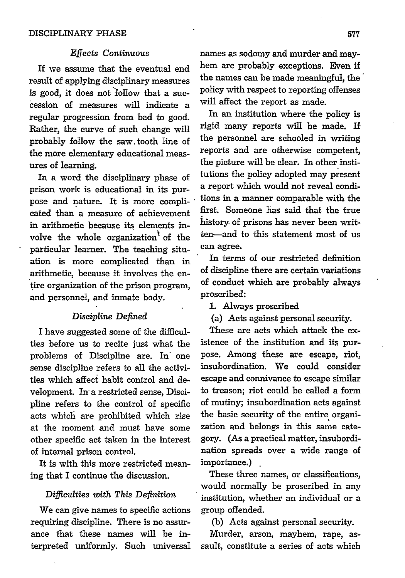#### *Effects Continuous*

If we assume that the eventual end result of applying disciplinary measures is good, it does not follow that a succession of measures will indicate a regular progression from bad to good. Rather, the curve of such change will probably follow the saw. tooth line of the more elementary educational measures of learning.

In a word the disciplinary phase of prison work is educational in its purpose and nature. It is more complicated than a measure of achievement in arithmetic because its elements involve the whole organization' of the particular learner. The teaching situation is more complicated than in arithmetic, because it involves the entire organization of the prison program, and personnel, and inmate body.

#### *Discipline Defined*

I have suggested some of the difficulties before us to recite just what the problems of Discipline are. In' one sense discipline refers to all the activities which affect habit control and development. In a restricted sense, Discipline refers to the control of specific acts which are prohibited which rise at the moment and must have some other specific act taken in the interest of internal prison control.

It is with this more restricted meaning that I continue the discussion.

#### *Difficulties with This Definition*

We can give names to specific actions requiring discipline. There is no assurance that these names will be interpreted uniformly. Such universal names as sodomy and murder and mayhem are probably exceptions. Even if the names can be made meaningful, the' policy with respect to reporting offenses will affect the report as made.

In an institution where the policy is rigid many reports will be made. If the personnel are schooled in writing reports and are otherwise competent, the picture will be clear. In other institutions the policy adopted may present a report which would not reveal conditions in a manner comparable with the first. Someone has said that the true history of prisons has never been written-and to this statement most of us can agree.

In terms of our restricted definition of discipline there are certain variations of conduct which are probably always proscribed:

1. Always proscribed

(a) Acts against personal security.

These are acts which attack the existence of the institution and its purpose. Among these are escape, riot, insubordination. We could consider escape and connivance to escape similar to treason; riot could be called a form of mutiny; insubordination acts against the basic security of the entire organization and belongs in this same category. (As a practical matter, insubordination spreads over a wide range of importance.)

These three names, or classifications, would normally be proscribed in any institution, whether an individual or a group offended.

(b) Acts against personal security.

Murder, arson, mayhem, rape, assault, constitute a series of acts which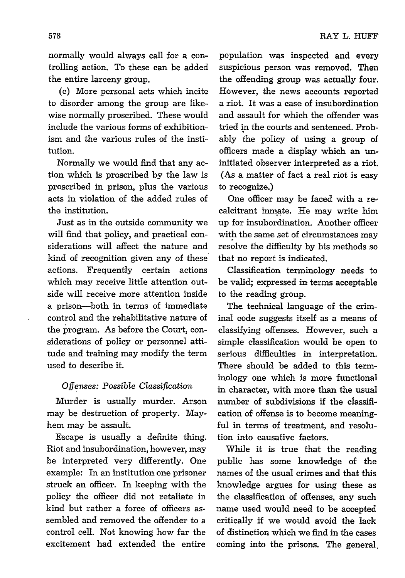normally would always call for a controlling action. To these can be added the entire larceny group.

(c) More personal acts which incite to disorder among the group are likewise normally proscribed. These would include the various forms of exhibitionism and the various rules of the institution.

Normally we would find that any action which is proscribed by the law is proscribed in prison, plus the various acts in violation of the added rules of the institution.

Just as in the outside community we will find that policy, and practical considerations will affect the nature and kind of recognition given any of these actions. Frequently certain actions which may receive little attention outside will receive more attention inside a prison-both in terms of immediate control and the rehabilitative nature of the program. As before the Court, considerations of policy or personnel attitude and training may modify the term used to describe it.

#### *Offenses: Possible Classification*

Murder is usually murder. Arson may be destruction of property. Mayhem may be assault.

Escape is usually a definite thing. Riot and insubordination, however, may be interpreted very differently. One example: In an institution one prisoner struck an officer. In keeping with the policy the officer did not retaliate in kind but rather a force of officers assembled and removed the offender to a control cell. Not knowing how far the excitement had extended the entire population was inspected and every suspicious person was removed. Then the offending group was actually four. However, the news accounts reported a riot. It was a case of insubordination and assault for which the offender was tried in the courts and sentenced. Probably the policy of using a group of officers made a display which an uninitiated observer interpreted as a riot. (As a matter of fact a real riot is easy to recognize.)

One officer may be faced with a recalcitrant inmate. He may write him up for insubordination. Another officer with the same set of circumstances may resolve the difficulty by his methods so that no report is indicated.

Classification terminology needs to be valid; expressed in terms acceptable to the reading group.

The technical language of the criminal code suggests itself as a means of classifying offenses. However, such a simple classification would be open to serious difficulties in interpretation. There should be added to this terminology one which is more functional in character, with more than the usual number of subdivisions if the classification of offense is to become meaningful in terms of treatment, and resolution into causative factors.

While it is true that the reading public has some knowledge of the names of the usual crimes and that this knowledge argues for using these as the classification of offenses, any such name used would need to be accepted critically if we would avoid the lack of distinction which we find in the cases coming into the prisons. The general,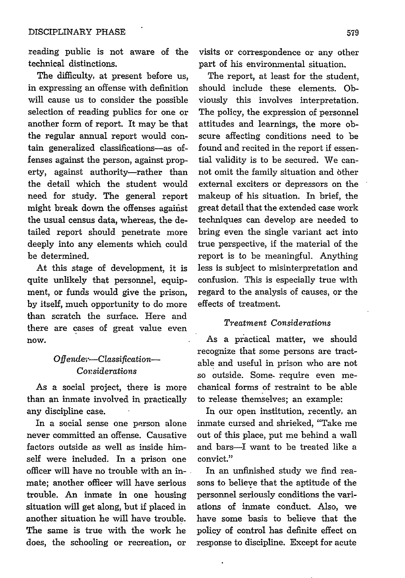reading public is not aware of the technical distinctions.

The difficulty, at present before us, in expressing an offense with definition will cause us to consider the possible selection of reading publics for one or another form of report. It may be that the regular annual report would contain generalized classifications-as offenses against the person, against property, against authority-rather than the detail which the student would need for study. The general report might break down the offenses against the usual census data, whereas, the detailed report should penetrate more deeply into any elements which could be determined.

At this stage of development, it is quite unlikely that personnel, equipment, or funds would give the prison, by itself, much opportunity to do more than scratch the surface. Here and there are cases of great value even now.

# *Off ende--Classification-Corsiderations*

As a social project, there is more than an inmate involved in practically any discipline case.

In a social sense one person alone never committed an offense. Causative factors outside as well as inside himself were included. In a prison one officer will have no trouble with an inmate; another officer will have serious trouble. An inmate in one housing situation will get along, but if placed in another situation he will have trouble. The same is true with the work he does, the schooling or recreation, or

visits or correspondence or any other part of his environmental situation.

The report, at least for the student, should include these elements. Obviously this involves interpretation. The policy, the expression of personnel attitudes and learnings, the more obscure affecting conditions need to be found and recited in the report if essential validity is to be secured. We cannot omit the family situation and other external exciters or depressors on the makeup of his situation. In brief, the great detail that the extended case work techniques can develop are needed to bring even the single variant act into true perspective, if the material of the report is to be meaningful. Anything less is subject to misinterpretation and confusion. This is especially true with regard to the analysis of causes, or the effects of treatment.

#### *Treatment Considerations*

As a practical matter, we should recognize that some persons are tractable and useful in prison who are not so outside. Some- require even mechanical forms of restraint to be able to release themselves; an example:

In our open institution, recently, an inmate cursed and shrieked, "Take me out of this place, put me behind a wall and bars-I want to be treated like a convict."

In an unfinished study we find reasons to believe that the aptitude of the personnel seriously conditions the variations of inmate conduct. Also, we have some basis to believe that the policy of control has definite effect on response to discipline. Except for acute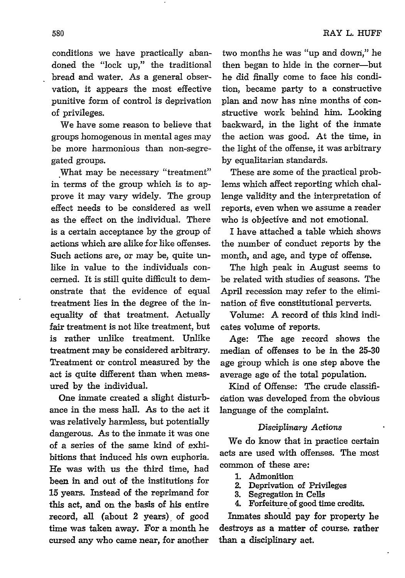conditions we have practically abandoned the "lock up," the traditional bread and water. As a general observation, it appears the most effective punitive form of control is deprivation of privileges.

We have some reason to believe that groups homogenous in mental ages may be more harmonious than non-segregated groups.

What may be necessary "treatment" in terms of the group which is to approve it may vary widely. The group effect needs to be considered as well as the effect on the individual. There is a certain acceptance by the group of actions which are alike for like offenses. Such actions are, or may be, quite unlike in value to the individuals concerned. It is still quite difficult to demonstrate that the evidence of equal treatment lies in the degree of the inequality of that treatment. Actually fair treatment is not like treatment, but is rather unlike treatment. Unlike treatment may be considered arbitrary. Treatment or control measured by the act is quite different than when measured by the individual.

One inmate created a slight disturbance in the mess hall. As to the act it was relatively harmless, but potentially dangerous. As to the inmate it was one of a series of the same kind of exhibitions that induced his own euphoria. He was with us the third time, had been in and out of the institutions for 15 years. Instead of the reprimand for this act, and on the basis of his entire record, all (about 2 years) of good time was taken away. For a month he cursed any who came near, for another

two months he was "up and down," he then began to hide in the corner-but he did finally come to face his condition, became party to a constructive plan and now has nine months of constructive work behind him. Looking backward, in the light of the inmate the action was good. At the time, in the light of the offense, it was arbitrary by equalitarian standards.

These are some of the practical problems which affect reporting which challenge validity and the interpretation of reports, even when we assume a reader who is objective and not emotional.

I have attached a table which shows the number of conduct reports by the month, and age, and type of offense.

The high peak in August seems to be related with studies of seasons. The April recession may refer to the elimination of five constitutional perverts.

Volume: A record of this kind indicates volume of reports.

Age: The age record shows the median of offenses to be in the 25-30 age group which is one step above the average age of the total population.

Kind of Offense: The crude classification was developed from the obvious language of the complaint.

#### Disciplinary *Actions*

We do know that in practice certain acts are used with offenses. The most common of these are:

- 1. Admonition
- 2. Deprivation of Privileges
- 3. Segregation in Cells
- 4. Forfeiture of good time credits.

Inmates should pay for property he destroys as a matter of course, rather than a disciplinary act.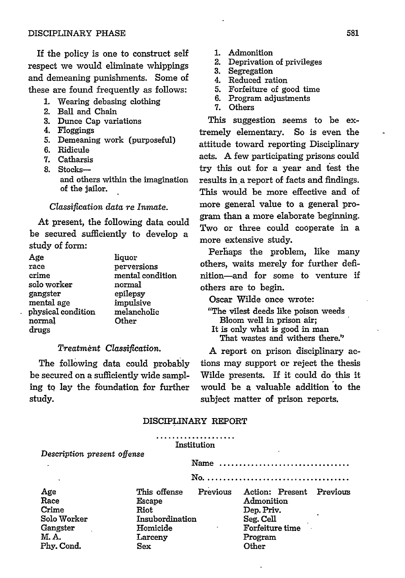If the policy is one to construct self respect we would eliminate whippings and demeaning punishments. Some of these are found frequently as follows:

- 1. Wearing debasing clothing
- 2. Ball and Chain
- 3. Dunce Cap variations
- 4. Floggings
- 5. Demeaning work (purposeful)
- 6. Ridicule
- 7. Catharsis
- 8. Stocksand others within the imagination of the jailor.

#### *Classification data re Inmate.*

At present, the following data could be secured sufficiently to develop a study of form:

| liquor           |
|------------------|
| perversions      |
| mental condition |
| normal           |
| epilepsy         |
| impulsive        |
| melancholic      |
| Other            |
|                  |
|                  |

#### *Treatment Classification.*

The following data could probably be secured on a sufficiently wide sampling to lay the foundation for further study.

- **1.** Admonition
- 2. Deprivation of privileges
- **3.** Segregation
- 4. Reduced ration<br>5. Forfeiture of go
- 5. Forfeiture of good time
- 6. Program adjustments
- 7. Others

This suggestion seems to be extremely elementary. So is even the attitude toward reporting Disciplinary acts. A few participating prisons could try this out for a year and test the results in a report of facts and findings. This would be more effective and of more general value to a general program than a more elaborate beginning. Two or three could cooperate in a more extensive study.

Perhaps the problem, like many others, waits merely for further definition-and for some to venture if others are to begin.

Oscar Wilde once wrote:

"The vilest deeds like poison weeds Bloom well in prison air; It is only what is good in man

That wastes and withers there."

A report on prison disciplinary actions may support or reject the thesis Wilde presents. If it could do this it would be a valuable addition to the subject matter of prison reports.

#### DISCIPLINARY REPORT

**°...................** Institution

#### *Description present offense*

| Name |  |  |  |  |  |  |  |  |  |  |  |  |  |  |  |  |  |
|------|--|--|--|--|--|--|--|--|--|--|--|--|--|--|--|--|--|
|      |  |  |  |  |  |  |  |  |  |  |  |  |  |  |  |  |  |

Race Escape Admonition Crime Riot Riot Dep. Priv. Solo Worker Insubordination Seg. Cell M.A. **Larceny** Program Phy. Cond. Sex Other

Age This offense Previous Action: Present Previous Gangster Homicide Forfeiture time